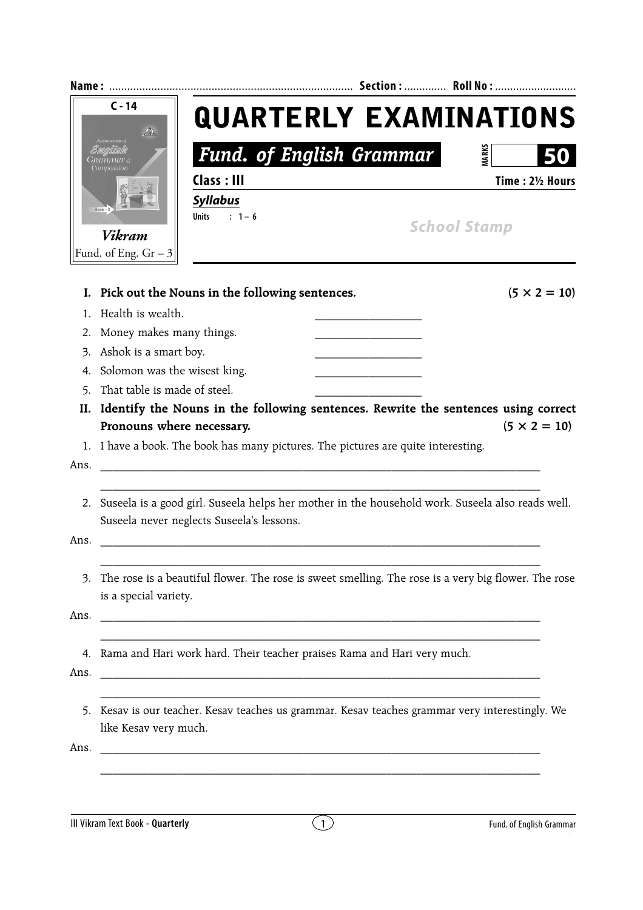|      | $C - 14$<br>$\mathscr{L}_{\mathcal{F}}$<br>$Book - 3$<br><b>Vikram</b><br>Fund. of Eng. $Gr - 3$ | <b>Fund. of English Grammar</b><br>Class: III<br><b>Syllabus</b><br>$: 1 - 6$<br><b>Units</b> |                |  | <b>QUARTERLY EXAMINATIONS</b><br><b>MARKS</b><br>Time: 21/2 Hours<br><b>School Stamp</b>            |  |  |
|------|--------------------------------------------------------------------------------------------------|-----------------------------------------------------------------------------------------------|----------------|--|-----------------------------------------------------------------------------------------------------|--|--|
|      |                                                                                                  |                                                                                               |                |  |                                                                                                     |  |  |
| I.   |                                                                                                  | Pick out the Nouns in the following sentences.                                                |                |  | $(5 \times 2 = 10)$                                                                                 |  |  |
| 1.   | Health is wealth.                                                                                |                                                                                               |                |  |                                                                                                     |  |  |
| 2.   | Money makes many things.                                                                         |                                                                                               |                |  |                                                                                                     |  |  |
| 3.   | Ashok is a smart boy.                                                                            |                                                                                               |                |  |                                                                                                     |  |  |
| 4.   | Solomon was the wisest king.                                                                     |                                                                                               |                |  |                                                                                                     |  |  |
| 5.   | That table is made of steel.                                                                     |                                                                                               |                |  |                                                                                                     |  |  |
| II.  |                                                                                                  | Identify the Nouns in the following sentences. Rewrite the sentences using correct            |                |  |                                                                                                     |  |  |
|      | Pronouns where necessary.                                                                        |                                                                                               |                |  | $(5 \times 2 = 10)$                                                                                 |  |  |
|      |                                                                                                  | 1. I have a book. The book has many pictures. The pictures are quite interesting.             |                |  |                                                                                                     |  |  |
| Ans. |                                                                                                  |                                                                                               |                |  |                                                                                                     |  |  |
| 2.   |                                                                                                  |                                                                                               |                |  | Suseela is a good girl. Suseela helps her mother in the household work. Suseela also reads well.    |  |  |
|      |                                                                                                  | Suseela never neglects Suseela's lessons.                                                     |                |  |                                                                                                     |  |  |
| Ans. |                                                                                                  |                                                                                               |                |  |                                                                                                     |  |  |
|      |                                                                                                  |                                                                                               |                |  |                                                                                                     |  |  |
| 3.   |                                                                                                  |                                                                                               |                |  | The rose is a beautiful flower. The rose is sweet smelling. The rose is a very big flower. The rose |  |  |
|      | is a special variety.                                                                            |                                                                                               |                |  |                                                                                                     |  |  |
| Ans. |                                                                                                  |                                                                                               |                |  |                                                                                                     |  |  |
|      |                                                                                                  |                                                                                               |                |  |                                                                                                     |  |  |
|      |                                                                                                  | 4. Rama and Hari work hard. Their teacher praises Rama and Hari very much.                    |                |  |                                                                                                     |  |  |
| Ans. |                                                                                                  |                                                                                               |                |  |                                                                                                     |  |  |
|      |                                                                                                  |                                                                                               |                |  |                                                                                                     |  |  |
|      |                                                                                                  |                                                                                               |                |  | 5. Kesav is our teacher. Kesav teaches us grammar. Kesav teaches grammar very interestingly. We     |  |  |
|      | like Kesav very much.                                                                            |                                                                                               |                |  |                                                                                                     |  |  |
| Ans. |                                                                                                  |                                                                                               |                |  |                                                                                                     |  |  |
|      |                                                                                                  |                                                                                               |                |  |                                                                                                     |  |  |
|      |                                                                                                  |                                                                                               |                |  |                                                                                                     |  |  |
|      |                                                                                                  |                                                                                               |                |  |                                                                                                     |  |  |
|      | III Vikram Text Book - Quarterly                                                                 |                                                                                               | $\overline{1}$ |  | Fund. of English Grammar                                                                            |  |  |